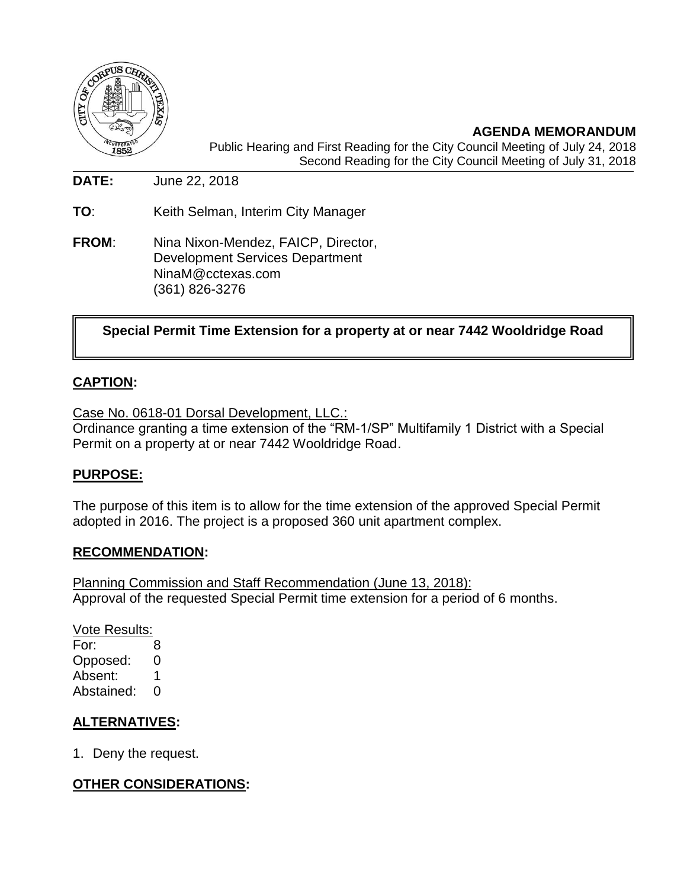

**AGENDA MEMORANDUM** Public Hearing and First Reading for the City Council Meeting of July 24, 2018 Second Reading for the City Council Meeting of July 31, 2018

**DATE:** June 22, 2018

**TO**: Keith Selman, Interim City Manager

**FROM**: Nina Nixon-Mendez, FAICP, Director, Development Services Department NinaM@cctexas.com (361) 826-3276

**Special Permit Time Extension for a property at or near 7442 Wooldridge Road**

## **CAPTION:**

Case No. 0618-01 Dorsal Development, LLC.: Ordinance granting a time extension of the "RM-1/SP" Multifamily 1 District with a Special Permit on a property at or near 7442 Wooldridge Road.

### **PURPOSE:**

The purpose of this item is to allow for the time extension of the approved Special Permit adopted in 2016. The project is a proposed 360 unit apartment complex.

#### **RECOMMENDATION:**

Planning Commission and Staff Recommendation (June 13, 2018): Approval of the requested Special Permit time extension for a period of 6 months.

Vote Results:

For: 8 Opposed: 0 Absent: 1 Abstained: 0

### **ALTERNATIVES:**

1. Deny the request.

## **OTHER CONSIDERATIONS:**